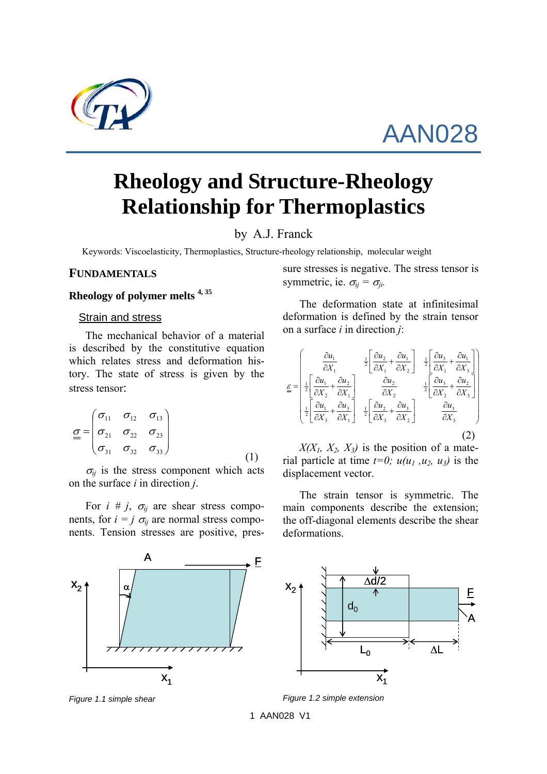

# AAN028

## **Rheology and Structure-Rheology Relationship for Thermoplastics**

## by A.J. Franck

Keywords: Viscoelasticity, Thermoplastics, Structure-rheology relationship, molecular weight

#### **FUNDAMENTALS**

#### **Rheology of polymer melts 4, 35**

### Strain and stress

The mechanical behavior of a material is described by the constitutive equation which relates stress and deformation history. The state of stress is given by the stress tensor:

$$
\underline{\underline{\sigma}} = \begin{pmatrix} \sigma_{11} & \sigma_{12} & \sigma_{13} \\ \sigma_{21} & \sigma_{22} & \sigma_{23} \\ \sigma_{31} & \sigma_{32} & \sigma_{33} \end{pmatrix}
$$
 (1)

 $\sigma_{ij}$  is the stress component which acts on the surface *i* in direction *j*.

For  $i \# j$ ,  $\sigma_{ij}$  are shear stress components, for  $i = j \sigma_{ij}$  are normal stress components. Tension stresses are positive, pres-



The deformation state at infinitesimal deformation is defined by the strain tensor on a surface *i* in direction *j*:

$$
\underline{\mathcal{E}} = \begin{bmatrix} \frac{\partial u_1}{\partial X_1} & \frac{1}{2} \left[ \frac{\partial u_2}{\partial X_1} + \frac{\partial u_1}{\partial X_2} \right] & \frac{1}{2} \left[ \frac{\partial u_3}{\partial X_1} + \frac{\partial u_1}{\partial X_3} \right] \\ \frac{1}{2} \left[ \frac{\partial u_1}{\partial X_2} + \frac{\partial u_2}{\partial X_1} \right] & \frac{\partial u_2}{\partial X_2} & \frac{1}{2} \left[ \frac{\partial u_3}{\partial X_2} + \frac{\partial u_2}{\partial X_3} \right] \\ \frac{1}{2} \left[ \frac{\partial u_1}{\partial X_3} + \frac{\partial u_3}{\partial X_1} \right] & \frac{1}{2} \left[ \frac{\partial u_2}{\partial X_3} + \frac{\partial u_3}{\partial X_2} \right] & \frac{\partial u_3}{\partial X_3} \end{bmatrix}
$$
(2)

 $X(X_1, X_2, X_3)$  is the position of a material particle at time  $t=0$ ;  $u(u_1, u_2, u_3)$  is the displacement vector.

The strain tensor is symmetric. The main components describe the extension; the off-diagonal elements describe the shear deformations.

A



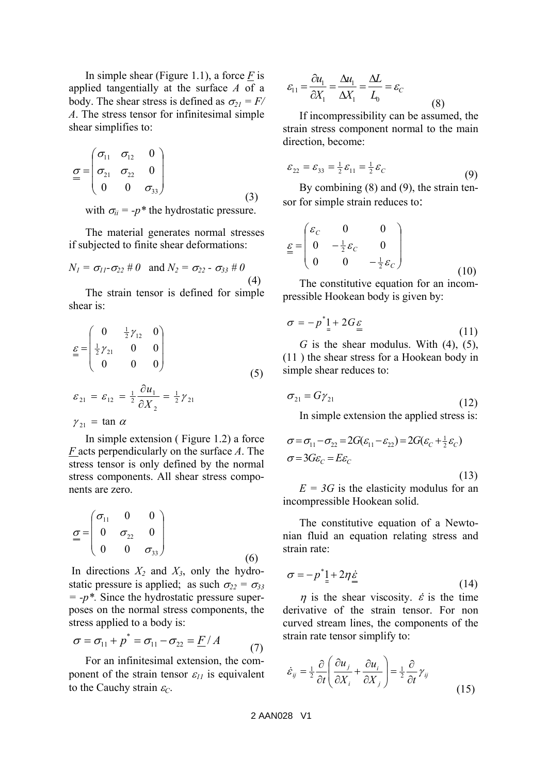In simple shear (Figure 1.1), a force *F* is applied tangentially at the surface *A* of a body. The shear stress is defined as  $\sigma_{21} = F/$ *A*. The stress tensor for infinitesimal simple shear simplifies to:

$$
\underline{\sigma} = \begin{pmatrix} \sigma_{11} & \sigma_{12} & 0 \\ \sigma_{21} & \sigma_{22} & 0 \\ 0 & 0 & \sigma_{33} \end{pmatrix} \tag{3}
$$

with  $\sigma_{ii} = -p^*$  the hydrostatic pressure.

The material generates normal stresses if subjected to finite shear deformations:

$$
N_1 = \sigma_{11} - \sigma_{22} \# 0 \text{ and } N_2 = \sigma_{22} - \sigma_{33} \# 0
$$
\n(4)

The strain tensor is defined for simple shear is:

$$
\underline{\underline{\mathcal{E}}} = \begin{pmatrix} 0 & \frac{1}{2} \gamma_{12} & 0 \\ \frac{1}{2} \gamma_{21} & 0 & 0 \\ 0 & 0 & 0 \end{pmatrix}
$$
 (5)

$$
\varepsilon_{21} = \varepsilon_{12} = \frac{1}{2} \frac{\partial u_1}{\partial X_2} = \frac{1}{2} \gamma_{21}
$$
  

$$
\gamma_{21} = \tan \alpha
$$

In simple extension ( Figure 1.2) a force *F* acts perpendicularly on the surface *A*. The stress tensor is only defined by the normal stress components. All shear stress components are zero.

$$
\underline{\sigma} = \begin{pmatrix} \sigma_{11} & 0 & 0 \\ 0 & \sigma_{22} & 0 \\ 0 & 0 & \sigma_{33} \end{pmatrix}
$$
 (6)

In directions  $X_2$  and  $X_3$ , only the hydrostatic pressure is applied; as such  $\sigma_{22} = \sigma_{33}$  $= -p^*$ . Since the hydrostatic pressure superposes on the normal stress components, the stress applied to a body is:

$$
\sigma = \sigma_{11} + p^* = \sigma_{11} - \sigma_{22} = \underline{F}/A
$$
 (7)

For an infinitesimal extension, the component of the strain tensor  $\varepsilon_{11}$  is equivalent to the Cauchy strain  $\varepsilon_C$ .

$$
\varepsilon_{11} = \frac{\partial u_1}{\partial X_1} = \frac{\Delta u_1}{\Delta X_1} = \frac{\Delta L}{L_0} = \varepsilon_C
$$
\n(8)

If incompressibility can be assumed, the strain stress component normal to the main direction, become:

$$
\varepsilon_{22} = \varepsilon_{33} = \frac{1}{2}\varepsilon_{11} = \frac{1}{2}\varepsilon_C \tag{9}
$$

By combining (8) and (9), the strain tensor for simple strain reduces to:

$$
\underline{\mathcal{E}} = \begin{pmatrix} \varepsilon_C & 0 & 0 \\ 0 & -\frac{1}{2}\varepsilon_C & 0 \\ 0 & 0 & -\frac{1}{2}\varepsilon_C \end{pmatrix}
$$
 (10)

The constitutive equation for an incompressible Hookean body is given by:

$$
\sigma = -p^* \mathbf{1} + 2G \mathbf{\varepsilon}
$$
 (11)

*G* is the shear modulus. With  $(4)$ ,  $(5)$ , (11 ) the shear stress for a Hookean body in simple shear reduces to:

$$
\sigma_{21} = G\gamma_{21} \tag{12}
$$

In simple extension the applied stress is:

$$
\sigma = \sigma_{11} - \sigma_{22} = 2G(\varepsilon_{11} - \varepsilon_{22}) = 2G(\varepsilon_C + \frac{1}{2}\varepsilon_C)
$$
  

$$
\sigma = 3G\varepsilon_C = E\varepsilon_C
$$
 (13)

 $E = 3G$  is the elasticity modulus for an incompressible Hookean solid.

The constitutive equation of a Newtonian fluid an equation relating stress and strain rate:

$$
\sigma = -p^* \underline{1} + 2\eta \underline{\dot{\varepsilon}} \tag{14}
$$

 $\eta$  is the shear viscosity.  $\dot{\varepsilon}$  is the time derivative of the strain tensor. For non curved stream lines, the components of the strain rate tensor simplify to:

$$
\dot{\varepsilon}_{ij} = \frac{1}{2} \frac{\partial}{\partial t} \left( \frac{\partial u_j}{\partial X_i} + \frac{\partial u_i}{\partial X_j} \right) = \frac{1}{2} \frac{\partial}{\partial t} \gamma_{ij}
$$
\n(15)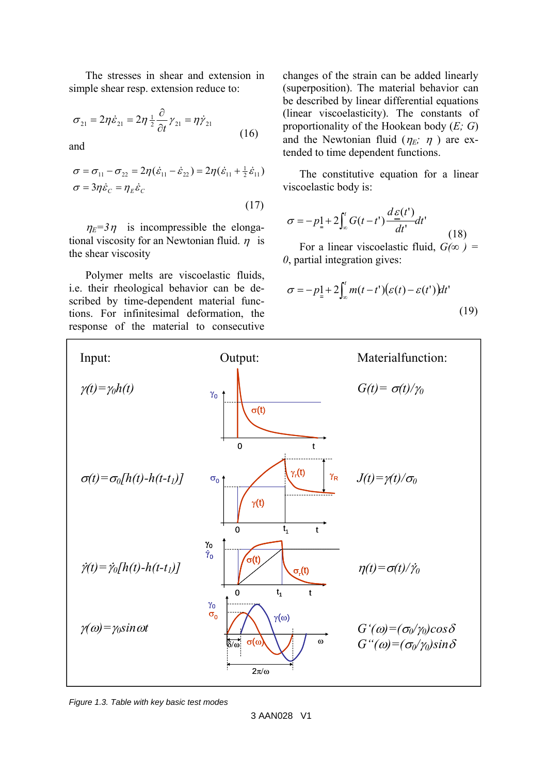The stresses in shear and extension in simple shear resp. extension reduce to:

$$
\sigma_{21} = 2\eta \dot{\varepsilon}_{21} = 2\eta \frac{1}{2} \frac{\partial}{\partial t} \gamma_{21} = \eta \dot{\gamma}_{21}
$$
\n(16)

and

$$
\sigma = \sigma_{11} - \sigma_{22} = 2\eta (\dot{\varepsilon}_{11} - \dot{\varepsilon}_{22}) = 2\eta (\dot{\varepsilon}_{11} + \frac{1}{2} \dot{\varepsilon}_{11})
$$
  
\n
$$
\sigma = 3\eta \dot{\varepsilon}_C = \eta_E \dot{\varepsilon}_C
$$
\n(17)

 $\eta_E = 3\eta$  is incompressible the elongational viscosity for an Newtonian fluid.  $\eta$  is the shear viscosity

Polymer melts are viscoelastic fluids, i.e. their rheological behavior can be described by time-dependent material functions. For infinitesimal deformation, the response of the material to consecutive

changes of the strain can be added linearly (superposition). The material behavior can be described by linear differential equations (linear viscoelasticity). The constants of proportionality of the Hookean body (*E; G*) and the Newtonian fluid  $(\eta_E; \eta)$  are extended to time dependent functions.

The constitutive equation for a linear viscoelastic body is:

$$
\sigma = -p_{\frac{1}{2}} + 2 \int_{-\infty}^{t} G(t - t') \frac{d\underline{\varepsilon}(t')}{dt'} dt' \tag{18}
$$

For a linear viscoelastic fluid,  $G(\infty)$  = *0*, partial integration gives:

$$
\sigma = -p_{\frac{1}{2}} + 2 \int_{-\infty}^{t} m(t - t') (\varepsilon(t) - \varepsilon(t')) dt'
$$
\n(19)



*Figure 1.3. Table with key basic test modes*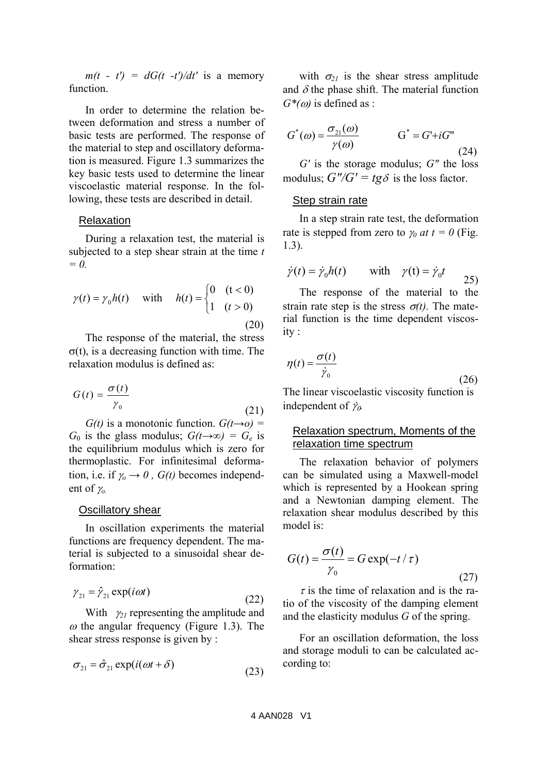$m(t - t') = dG(t - t')/dt'$  is a memory function.

In order to determine the relation between deformation and stress a number of basic tests are performed. The response of the material to step and oscillatory deformation is measured. Figure 1.3 summarizes the key basic tests used to determine the linear viscoelastic material response. In the following, these tests are described in detail.

#### Relaxation

During a relaxation test, the material is subjected to a step shear strain at the time *t = 0.* 

$$
\gamma(t) = \gamma_0 h(t) \quad \text{with} \quad h(t) = \begin{cases} 0 & (t < 0) \\ 1 & (t > 0) \end{cases} \tag{20}
$$

The response of the material, the stress σ(t), is a decreasing function with time. The relaxation modulus is defined as:

$$
G(t) = \frac{\sigma(t)}{\gamma_0} \tag{21}
$$

*G(t)* is a monotonic function.  $G(t\rightarrow o)$  = *G*<sup>0</sup> is the glass modulus;  $G(t\rightarrow\infty) = G_e$  is the equilibrium modulus which is zero for thermoplastic. For infinitesimal deformation, i.e. if  $\gamma_0 \rightarrow 0$ ,  $G(t)$  becomes independent of  $\gamma$ <sub>o</sub>

#### **Oscillatory shear**

In oscillation experiments the material functions are frequency dependent. The material is subjected to a sinusoidal shear deformation:

$$
\gamma_{21} = \hat{\gamma}_{21} \exp(i\omega t) \tag{22}
$$

With  $\gamma_{21}$  representing the amplitude and  $\omega$  the angular frequency (Figure 1.3). The shear stress response is given by :

$$
\sigma_{21} = \hat{\sigma}_{21} \exp(i(\omega t + \delta) \tag{23}
$$

with  $\sigma_{21}$  is the shear stress amplitude and  $\delta$  the phase shift. The material function  $G^*(\omega)$  is defined as :

$$
G^*(\omega) = \frac{\sigma_{21}(\omega)}{\gamma(\omega)} \qquad G^* = G^* + iG^*
$$
\n(24)

*G'* is the storage modulus; *G"* the loss modulus;  $G''/G' = t g \delta$  is the loss factor.

#### Step strain rate

In a step strain rate test, the deformation rate is stepped from zero to  $\gamma_0$  *at t* = 0 (Fig. 1.3).

$$
\dot{\gamma}(t) = \dot{\gamma}_0 h(t) \qquad \text{with} \quad \gamma(t) = \dot{\gamma}_0 t \qquad (25)
$$

The response of the material to the strain rate step is the stress  $\sigma(t)$ . The material function is the time dependent viscosity :

$$
\eta(t) = \frac{\sigma(t)}{\dot{\gamma}_0} \tag{26}
$$

The linear viscoelastic viscosity function is independent of  $\dot{\gamma}_o$ .

### Relaxation spectrum, Moments of the relaxation time spectrum

The relaxation behavior of polymers can be simulated using a Maxwell-model which is represented by a Hookean spring and a Newtonian damping element. The relaxation shear modulus described by this model is:

$$
G(t) = \frac{\sigma(t)}{\gamma_0} = G \exp(-t/\tau)
$$
\n(27)

 $\tau$  is the time of relaxation and is the ratio of the viscosity of the damping element and the elasticity modulus *G* of the spring.

For an oscillation deformation, the loss and storage moduli to can be calculated according to: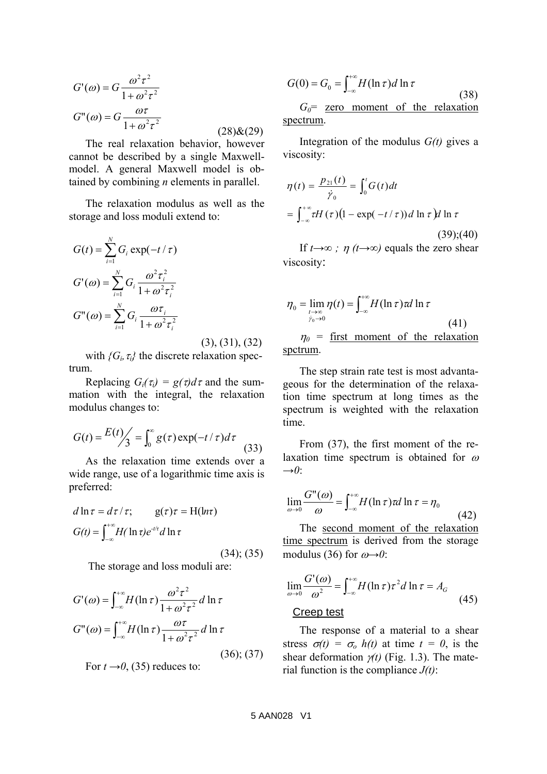$$
G'(\omega) = G \frac{\omega^2 \tau^2}{1 + \omega^2 \tau^2}
$$
  

$$
G''(\omega) = G \frac{\omega \tau}{1 + \omega^2 \tau^2}
$$
 (28)&(29)

The real relaxation behavior, however cannot be described by a single Maxwellmodel. A general Maxwell model is obtained by combining *n* elements in parallel.

The relaxation modulus as well as the storage and loss moduli extend to:

$$
G(t) = \sum_{i=1}^{N} G_i \exp(-t/\tau)
$$
  
\n
$$
G'(\omega) = \sum_{i=1}^{N} G_i \frac{\omega^2 \tau_i^2}{1 + \omega^2 \tau_i^2}
$$
  
\n
$$
G''(\omega) = \sum_{i=1}^{N} G_i \frac{\omega \tau_i}{1 + \omega^2 \tau_i^2}
$$

(3), (31), (32)

with  ${G_i, \tau_i}$  the discrete relaxation spectrum.

Replacing  $G_i(\tau_i) = g(\tau)d\tau$  and the summation with the integral, the relaxation modulus changes to:

$$
G(t) = \frac{E(t)}{3} = \int_0^\infty g(\tau) \exp(-t/\tau) d\tau
$$
 (33)

As the relaxation time extends over a wide range, use of a logarithmic time axis is preferred:

$$
d \ln \tau = d\tau / \tau; \qquad g(\tau)\tau = H(\ln \tau)
$$

$$
G(t) = \int_{-\infty}^{+\infty} H(\ln \tau) e^{-t/\tau} d \ln \tau
$$
(34); (35)

The storage and loss moduli are:

$$
G'(\omega) = \int_{-\infty}^{+\infty} H(\ln \tau) \frac{\omega^2 \tau^2}{1 + \omega^2 \tau^2} d \ln \tau
$$
  
\n
$$
G''(\omega) = \int_{-\infty}^{+\infty} H(\ln \tau) \frac{\omega \tau}{1 + \omega^2 \tau^2} d \ln \tau
$$
  
\n
$$
(36); (37)
$$
  
\nFor  $t \rightarrow 0$ , (35) reduces to:

$$
G(0) = G_0 = \int_{-\infty}^{+\infty} H(\ln \tau) d\ln \tau
$$
\n(38)\n  
\n
$$
G = \text{zero moment of the relaxation}
$$

*G0*= zero moment of the relaxation spectrum.

Integration of the modulus *G(t)* gives a viscosity:

$$
\eta(t) = \frac{p_{21}(t)}{\dot{\gamma}_0} = \int_0^t G(t)dt
$$

$$
= \int_{-\infty}^{+\infty} \tau H(\tau) \left(1 - \exp(-t/\tau)\right) d\ln \tau \, dt \ln \tau
$$
(39);(40)

If *t→∞ ;* η *(t→∞)* equals the zero shear viscosity:

$$
\eta_0 = \lim_{\substack{t \to \infty \\ \dot{\gamma}_0 \to 0}} \eta(t) = \int_{-\infty}^{+\infty} H(\ln \tau) \tau d \ln \tau
$$
\n(41)\n  
\n
$$
\eta_0 = \text{first moment of the relaxation}
$$

 $\eta_0$  = <u>first moment</u> of the relaxation spctrum.

The step strain rate test is most advantageous for the determination of the relaxation time spectrum at long times as the spectrum is weighted with the relaxation time.

From (37), the first moment of the relaxation time spectrum is obtained for  $\omega$ *→0*:

$$
\lim_{\omega \to 0} \frac{G''(\omega)}{\omega} = \int_{-\infty}^{+\infty} H(\ln \tau) \tau d \ln \tau = \eta_0 \tag{42}
$$

The second moment of the relaxation time spectrum is derived from the storage modulus (36) for  $\omega \rightarrow 0$ :

$$
\lim_{\omega \to 0} \frac{G'(\omega)}{\omega^2} = \int_{-\infty}^{+\infty} H(\ln \tau) \tau^2 d \ln \tau = A_G
$$
\n(45)

The response of a material to a shear stress  $\sigma(t) = \sigma_0 h(t)$  at time  $t = 0$ , is the shear deformation  $\gamma(t)$  (Fig. 1.3). The material function is the compliance *J(t)*: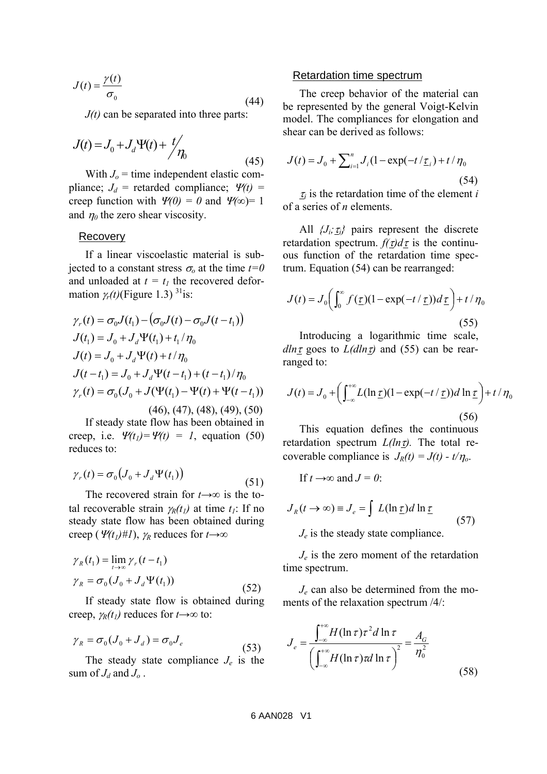$$
J(t) = \frac{\gamma(t)}{\sigma_0} \tag{44}
$$

*J(t)* can be separated into three parts:

$$
J(t) = J_0 + J_d \Psi(t) + \frac{t}{\eta_0}
$$
\n(45)

With  $J<sub>o</sub>$  = time independent elastic compliance;  $J_d$  = retarded compliance;  $\Psi(t)$  = creep function with  $\Psi(0) = 0$  and  $\Psi(\infty) = 1$ and  $\eta_0$  the zero shear viscosity.

#### Recovery

If a linear viscoelastic material is subjected to a constant stress  $\sigma_0$  at the time  $t=0$ and unloaded at  $t = t_1$  the recovered deformation  $\gamma_t(t)$ (Figure 1.3)<sup>31</sup>is:

$$
\gamma_r(t) = \sigma_0 J(t_1) - (\sigma_0 J(t) - \sigma_0 J(t - t_1))
$$
  
\n
$$
J(t_1) = J_0 + J_d \Psi(t_1) + t_1 / \eta_0
$$
  
\n
$$
J(t) = J_0 + J_d \Psi(t) + t / \eta_0
$$
  
\n
$$
J(t - t_1) = J_0 + J_d \Psi(t - t_1) + (t - t_1) / \eta_0
$$
  
\n
$$
\gamma_r(t) = \sigma_0 (J_0 + J(\Psi(t_1) - \Psi(t) + \Psi(t - t_1))
$$
  
\n
$$
(46), (47), (48), (49), (50)
$$

If steady state flow has been obtained in creep, i.e.  $\Psi(t_1) = \Psi(t) = 1$ , equation (50) reduces to:

$$
\gamma_r(t) = \sigma_0 \big( J_0 + J_d \Psi(t_1) \big) \tag{51}
$$

The recovered strain for *t→∞* is the total recoverable strain  $\gamma_R(t_1)$  at time  $t_1$ : If no steady state flow has been obtained during creep (Ψ*(t1)#1*), <sup>γ</sup>*R* reduces for *t→∞*

$$
\gamma_R(t_1) = \lim_{t \to \infty} \gamma_r(t - t_1)
$$
  
\n
$$
\gamma_R = \sigma_0 (J_0 + J_d \Psi(t_1))
$$
\n(52)

If steady state flow is obtained during creep, <sup>γ</sup>*R(t1)* reduces for *t→∞* to:

$$
\gamma_R = \sigma_0 (J_0 + J_d) = \sigma_0 J_e \tag{53}
$$

The steady state compliance  $J_e$  is the sum of  $J_d$  and  $J_o$ .

#### Retardation time spectrum

The creep behavior of the material can be represented by the general Voigt-Kelvin model. The compliances for elongation and shear can be derived as follows:

$$
J(t) = J_0 + \sum_{i=1}^{n} J_i (1 - \exp(-t/\underline{\tau}_i) + t/\eta_0)
$$
\n(54)

 $\tau_i$  is the retardation time of the element *i* of a series of *n* elements.

All  $\{J_i, \tau_i\}$  pairs represent the discrete retardation spectrum.  $f(\tau)d\tau$  is the continuous function of the retardation time spectrum. Equation (54) can be rearranged:

$$
J(t) = J_0 \left( \int_0^\infty f(\underline{\tau})(1 - \exp(-t/\underline{\tau})) d\underline{\tau} \right) + t/\eta_0
$$
\n(55)

Introducing a logarithmic time scale, *dln*  $\tau$  goes to  $L(dln \tau)$  and (55) can be rearranged to:

$$
J(t) = J_0 + \left(\int_{-\infty}^{+\infty} L(\ln \underline{\tau})(1 - \exp(-t/\underline{\tau}))d \ln \underline{\tau}\right) + t/\eta_0
$$
\n(56)

This equation defines the continuous retardation spectrum  $L(ln_1)$ . The total recoverable compliance is  $J_R(t) = J(t) - t/\eta_o$ .

If 
$$
t \rightarrow \infty
$$
 and  $J = 0$ :

$$
J_R(t \to \infty) \equiv J_e = \int L(\ln \underline{\tau}) d \ln \underline{\tau}
$$
  
\n
$$
J_e
$$
 is the steady state compliance. (57)

*Je* is the zero moment of the retardation time spectrum.

*Je* can also be determined from the moments of the relaxation spectrum /4/:

$$
J_e = \frac{\int_{-\infty}^{+\infty} H(\ln \tau) \tau^2 d \ln \tau}{\left(\int_{-\infty}^{+\infty} H(\ln \tau) \tau d \ln \tau\right)^2} = \frac{A_G}{\eta_0^2}
$$
(58)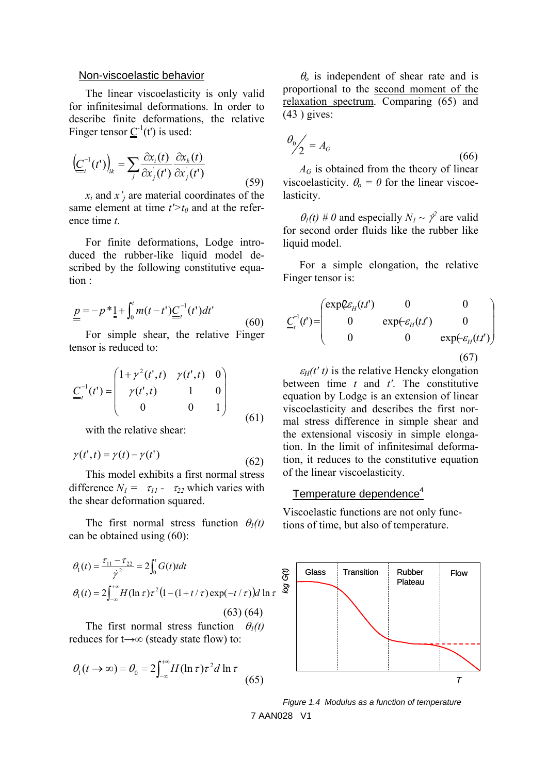#### Non-viscoelastic behavior

The linear viscoelasticity is only valid for infinitesimal deformations. In order to describe finite deformations, the relative Finger tensor  $\underline{C}^{-1}(t')$  is used:

$$
\left(\underline{C}_{t}^{-1}(t')\right)_{ik} = \sum_{j} \frac{\partial x_{i}(t)}{\partial x_{j}^{'}(t')} \frac{\partial x_{k}(t)}{\partial x_{j}^{'}(t')}
$$
\n(59)

*xi* and *x'j* are material coordinates of the same element at time  $t'$  and at the reference time *t*.

For finite deformations, Lodge introduced the rubber-like liquid model described by the following constitutive equation :

$$
\underline{p} = -p^* \underline{1} + \int_0^t m(t - t') \underline{C}_t^{-1}(t') dt'
$$
\n(60)

For simple shear, the relative Finger tensor is reduced to:

$$
\underline{C}_{t}^{-1}(t^{r}) = \begin{pmatrix} 1 + \gamma^{2}(t^{r}, t) & \gamma(t^{r}, t) & 0 \\ \gamma(t^{r}, t) & 1 & 0 \\ 0 & 0 & 1 \end{pmatrix}
$$
(61)

with the relative shear:

$$
\gamma(t',t) = \gamma(t) - \gamma(t')
$$
\n(62)

This model exhibits a first normal stress difference  $N_1 = \tau_{11} - \tau_{22}$  which varies with the shear deformation squared.

The first normal stress function  $\theta_1(t)$ can be obtained using (60):

$$
\theta_1(t) = \frac{\tau_{11} - \tau_{22}}{\dot{\gamma}^2} = 2 \int_0^t G(t) t dt
$$
  
\n
$$
\theta_1(t) = 2 \int_{-\infty}^{+\infty} H(\ln \tau) \tau^2 (1 - (1 + t/\tau) \exp(-t/\tau)) dt \ln \tau
$$
  
\n(63) (64)

The first normal stress function  $\theta_1(t)$ reduces for t→∞ (steady state flow) to:

$$
\theta_1(t \to \infty) = \theta_0 = 2 \int_{-\infty}^{+\infty} H(\ln \tau) \tau^2 d \ln \tau
$$
 (65)

 $\theta_0$  is independent of shear rate and is proportional to the second moment of the relaxation spectrum. Comparing (65) and  $(43)$  gives:

$$
\theta_0 / 2 = A_G \tag{66}
$$

*AG* is obtained from the theory of linear viscoelasticity.  $\theta_o = 0$  for the linear viscoelasticity.

 $\theta_I(t)$  # 0 and especially  $N_I \sim \gamma^2$  are valid for second order fluids like the rubber like liquid model.

For a simple elongation, the relative Finger tensor is:

$$
\underline{C}_{t}^{-1}(t') = \begin{pmatrix} \exp \mathcal{L}_{H}(t,t') & 0 & 0 \\ 0 & \exp(\mathcal{L}_{H}(t,t') & 0 \\ 0 & 0 & \exp(\mathcal{L}_{H}(t,t')) \end{pmatrix}
$$
\n(67)

 $\varepsilon_H(t' t)$  is the relative Hencky elongation between time *t* and *t'*. The constitutive equation by Lodge is an extension of linear viscoelasticity and describes the first normal stress difference in simple shear and the extensional viscosiy in simple elongation. In the limit of infinitesimal deformation, it reduces to the constitutive equation of the linear viscoelasticity.

## Temperature dependence<sup>4</sup>

Viscoelastic functions are not only functions of time, but also of temperature.



7 AAN028 V1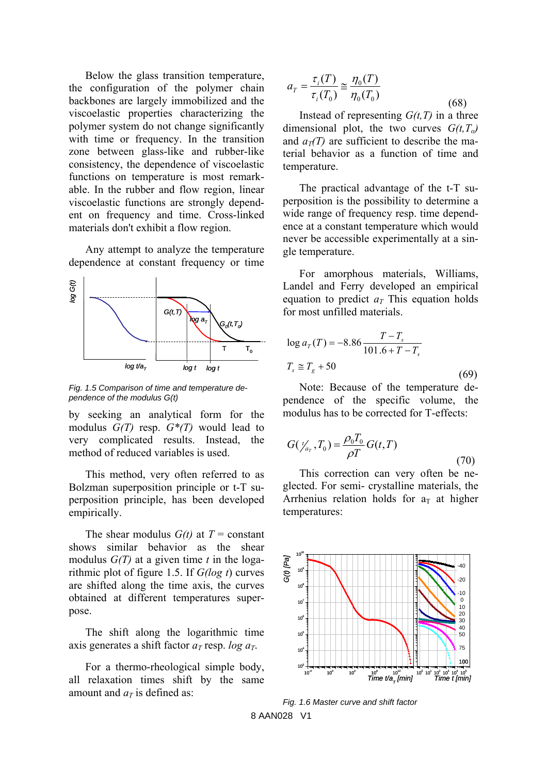Below the glass transition temperature, the configuration of the polymer chain backbones are largely immobilized and the viscoelastic properties characterizing the polymer system do not change significantly with time or frequency. In the transition zone between glass-like and rubber-like consistency, the dependence of viscoelastic functions on temperature is most remarkable. In the rubber and flow region, linear viscoelastic functions are strongly dependent on frequency and time. Cross-linked materials don't exhibit a flow region.

Any attempt to analyze the temperature dependence at constant frequency or time



*Fig. 1.5 Comparison of time and temperature dependence of the modulus G(t)* 

by seeking an analytical form for the modulus *G(T)* resp. *G\*(T)* would lead to very complicated results. Instead, the method of reduced variables is used.

This method, very often referred to as Bolzman superposition principle or t-T superposition principle, has been developed empirically.

The shear modulus  $G(t)$  at  $T = constant$ shows similar behavior as the shear modulus *G(T)* at a given time *t* in the logarithmic plot of figure 1.5. If *G(log t*) curves are shifted along the time axis, the curves obtained at different temperatures superpose.

The shift along the logarithmic time axis generates a shift factor  $a_T$  resp. *log*  $a_T$ .

For a thermo-rheological simple body, all relaxation times shift by the same amount and  $a_T$  is defined as:

$$
a_T = \frac{\tau_i(T)}{\tau_i(T_0)} \approx \frac{\eta_0(T)}{\eta_0(T_0)}
$$
\n(68)

Instead of representing  $G(t, T)$  in a three dimensional plot, the two curves *G(t,To)* and  $a_T(T)$  are sufficient to describe the material behavior as a function of time and temperature.

The practical advantage of the t-T superposition is the possibility to determine a wide range of frequency resp. time dependence at a constant temperature which would never be accessible experimentally at a single temperature.

For amorphous materials, Williams, Landel and Ferry developed an empirical equation to predict  $a<sub>T</sub>$  This equation holds for most unfilled materials.

$$
\log a_{T}(T) = -8.86 \frac{T - T_{s}}{101.6 + T - T_{s}}
$$
  

$$
T_{s} \approx T_{g} + 50
$$
 (69)

Note: Because of the temperature dependence of the specific volume, the modulus has to be corrected for T-effects:

$$
G(\mathcal{V}_{a_T}, T_0) = \frac{\rho_0 T_0}{\rho T} G(t, T)
$$
\n(70)

This correction can very often be neglected. For semi- crystalline materials, the Arrhenius relation holds for  $a<sub>T</sub>$  at higher temperatures:



*Fig. 1.6 Master curve and shift factor*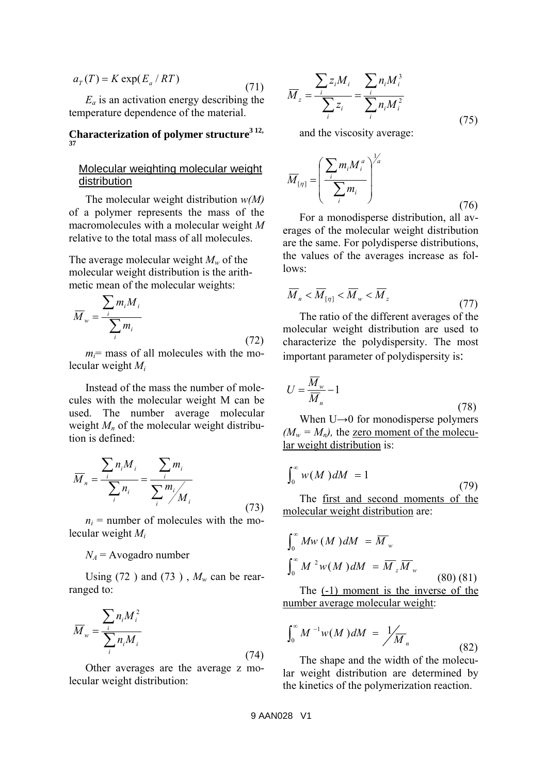$$
a_T(T) = K \exp(E_a / RT)
$$
\n(71)

 $E_a$  is an activation energy describing the temperature dependence of the material.

**Characterization of polymer structure3 12, 37**

## Molecular weighting molecular weight distribution

The molecular weight distribution *w(M)* of a polymer represents the mass of the macromolecules with a molecular weight *M* relative to the total mass of all molecules.

The average molecular weight *Mw* of the molecular weight distribution is the arithmetic mean of the molecular weights:

$$
\overline{M}_{w} = \frac{\sum_{i} m_{i} M_{i}}{\sum_{i} m_{i}}
$$
\n(72)

 $m<sub>i</sub>$  = mass of all molecules with the molecular weight *Mi*

Instead of the mass the number of molecules with the molecular weight M can be used. The number average molecular weight  $M_n$  of the molecular weight distribution is defined:

$$
\overline{M}_n = \frac{\sum_i n_i M_i}{\sum_i n_i} = \frac{\sum_i m_i}{\sum_i m_i / M_i}
$$
\n(73)

 $n_i$  = number of molecules with the molecular weight *Mi*

 $N_A$  = Avogadro number

Using (72) and (73),  $M_w$  can be rearranged to:

$$
\overline{M}_{w} = \frac{\sum_{i} n_{i} M_{i}^{2}}{\sum_{i} n_{i} M_{i}}
$$
\n(74)

Other averages are the average z molecular weight distribution:

$$
\overline{M}_z = \frac{\sum_{i} z_i M_i}{\sum_{i} z_i} = \frac{\sum_{i} n_i M_i^3}{\sum_{i} n_i M_i^2}
$$
(75)

and the viscosity average:

$$
\overline{M}_{[\eta]} = \left(\frac{\sum_{i} m_i M_i^a}{\sum_{i} m_i}\right)^{1/a}
$$
\n(76)

For a monodisperse distribution, all averages of the molecular weight distribution are the same. For polydisperse distributions, the values of the averages increase as follows:

$$
\overline{M}_n < \overline{M}_{\left[\eta\right]} < \overline{M}_w < \overline{M}_z \tag{77}
$$

The ratio of the different averages of the molecular weight distribution are used to characterize the polydispersity. The most important parameter of polydispersity is:

$$
U = \frac{\overline{M}_{w}}{\overline{M}_{n}} - 1
$$
\n(78)

When  $U\rightarrow 0$  for monodisperse polymers  $(M_w = M_n)$ , the zero moment of the molecular weight distribution is:

$$
\int_0^\infty w(M) dM = 1
$$
\n(79)  
The first and second moments of the

The first and second moments of the molecular weight distribution are:

$$
\int_0^\infty Mw \, (M) dM = \overline{M}_w
$$

$$
\int_0^\infty M^2 w(M) dM = \overline{M}_z \overline{M}_w
$$
(80) (81)

The (-1) moment is the inverse of the number average molecular weight:

$$
\int_0^\infty M^{-1}w(M) dM = \frac{1}{M_n}
$$
 (82)

The shape and the width of the molecular weight distribution are determined by the kinetics of the polymerization reaction.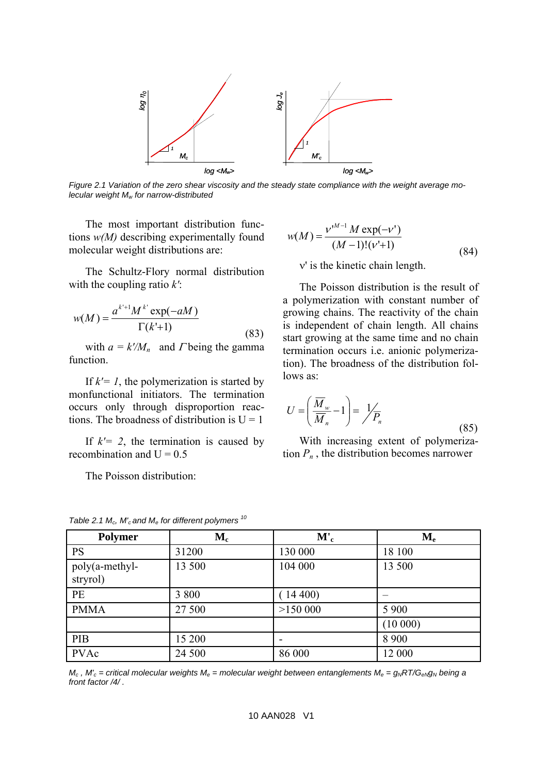

*Figure 2.1 Variation of the zero shear viscosity and the steady state compliance with the weight average mo-*

The most important distribution functions *w(M)* describing experimentally found molecular weight distributions are:

The Schultz-Flory normal distribution with the coupling ratio *k'*:

$$
w(M) = \frac{a^{k+1}M^{k'}\exp(-aM)}{\Gamma(k'+1)}
$$
(83)

with  $a = k/M_n$  and  $\Gamma$  being the gamma function.

If  $k'= 1$ , the polymerization is started by monfunctional initiators. The termination occurs only through disproportion reactions. The broadness of distribution is  $U = 1$ 

If  $k'= 2$ , the termination is caused by recombination and  $U = 0.5$ 

The Poisson distribution:

$$
w(M) = \frac{v^{M-1} M \exp(-v')}{(M-1)!(v'+1)}
$$
  
v' is the kinetic chain length. (84)

The Poisson distribution is the result of a polymerization with constant number of growing chains. The reactivity of the chain is independent of chain length. All chains start growing at the same time and no chain termination occurs i.e. anionic polymerization). The broadness of the distribution follows as:

$$
U = \left(\frac{\overline{M}_{w}}{\overline{M}_{n}} - 1\right) = \frac{1}{P_{n}}
$$
\n(85)

With increasing extent of polymerization  $P_n$ , the distribution becomes narrower

| <b>Polymer</b>             | $\mathbf{M}_{\mathbf{c}}$ | $\bf{M'}_c$ | $\mathbf{M}_{\mathbf{e}}$ |
|----------------------------|---------------------------|-------------|---------------------------|
| <b>PS</b>                  | 31200                     | 130 000     | 18 100                    |
| poly(a-methyl-<br>stryrol) | 13 500                    | 104 000     | 13 500                    |
| PE                         | 3 800                     | $14\,400$   |                           |
| <b>PMMA</b>                | 27 500                    | >150000     | 5 9 0 0                   |
|                            |                           |             | (10000)                   |
| PIB                        | 15 200                    |             | 8 9 0 0                   |
| <b>PVAc</b>                | 24 500                    | 86 000      | 12 000                    |

*Table 2.1 Mc, M'c and Me for different polymers 10*

 $M_c$ ,  $M_c'$  = critical molecular weights  $M_e$  = molecular weight between entanglements  $M_e = g_N RT/G_{eN}g_N$  being a *front factor /4/ .*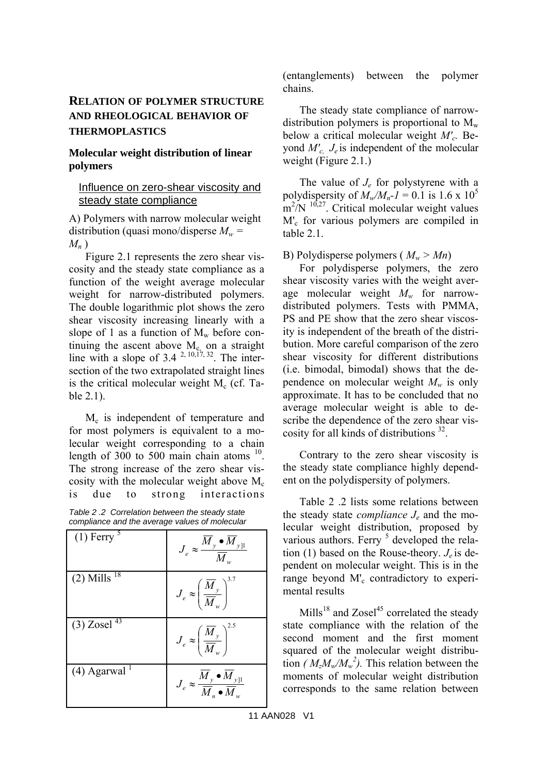## **RELATION OF POLYMER STRUCTURE AND RHEOLOGICAL BEHAVIOR OF THERMOPLASTICS**

## **Molecular weight distribution of linear polymers**

## Influence on zero-shear viscosity and steady state compliance

A) Polymers with narrow molecular weight distribution (quasi mono/disperse  $M_w$  = *Mn* )

Figure 2.1 represents the zero shear viscosity and the steady state compliance as a function of the weight average molecular weight for narrow-distributed polymers. The double logarithmic plot shows the zero shear viscosity increasing linearly with a slope of 1 as a function of  $M_w$  before continuing the ascent above  $M_c$  on a straight line with a slope of  $3.4^{2,10,17,32}$ . The intersection of the two extrapolated straight lines is the critical molecular weight  $M<sub>c</sub>$  (cf. Table 2.1).

M<sub>c</sub> is independent of temperature and for most polymers is equivalent to a molecular weight corresponding to a chain length of 300 to 500 main chain atoms  $10$ . The strong increase of the zero shear viscosity with the molecular weight above  $M_c$ is due to strong interactions

*Table 2 .2 Correlation between the steady state compliance and the average values of molecular* 

| $(1)$ Ferry $5$            | $J_e \approx \frac{M_y \bullet \overline{M}_{y \parallel}}{\overline{M}_{\cdot \cdot \cdot}}$ |
|----------------------------|-----------------------------------------------------------------------------------------------|
| $(2)$ Mills <sup>18</sup>  | $J_e \approx \left(\frac{\overline{M}_y}{\overline{M}_w}\right)^{\cdots}$                     |
| $(3)$ Zosel $^{43}$        | $J_e \approx \left(\frac{M_y}{\overline{M}_w}\right)^{2.5}$                                   |
| $(4)$ Agarwal <sup>1</sup> | $J_e \approx \frac{M_y \bullet M_{yll}}{\overline{M} \bullet \overline{M}}$                   |

(entanglements) between the polymer chains.

The steady state compliance of narrowdistribution polymers is proportional to  $M_{w}$ below a critical molecular weight *M'c.* Beyond *M'c, Je* is independent of the molecular weight (Figure 2.1.)

The value of *Je* for polystyrene with a polydispersity of  $M_w/M_p-l = 0.1$  is 1.6 x 10<sup>5</sup>  $\rm m^2/N$ <sup>10,27</sup>. Critical molecular weight values M'<sub>c</sub> for various polymers are compiled in table 2.1.

B) Polydisperse polymers ( $M_w > Mn$ )

For polydisperse polymers, the zero shear viscosity varies with the weight average molecular weight *Mw* for narrowdistributed polymers. Tests with PMMA, PS and PE show that the zero shear viscosity is independent of the breath of the distribution. More careful comparison of the zero shear viscosity for different distributions (i.e. bimodal, bimodal) shows that the dependence on molecular weight  $M_w$  is only approximate. It has to be concluded that no average molecular weight is able to describe the dependence of the zero shear viscosity for all kinds of distributions <sup>32</sup>.

Contrary to the zero shear viscosity is the steady state compliance highly dependent on the polydispersity of polymers.

Table 2 .2 lists some relations between the steady state *compliance Je* and the molecular weight distribution, proposed by various authors. Ferry <sup>5</sup> developed the relation (1) based on the Rouse-theory. *Je* is dependent on molecular weight. This is in the range beyond M'<sub>c</sub> contradictory to experimental results

 $\text{Mills}^{18}$  and Zosel<sup>45</sup> correlated the steady state compliance with the relation of the second moment and the first moment squared of the molecular weight distribution *(* $M_z M_w / M_w^2$ *)*. This relation between the moments of molecular weight distribution corresponds to the same relation between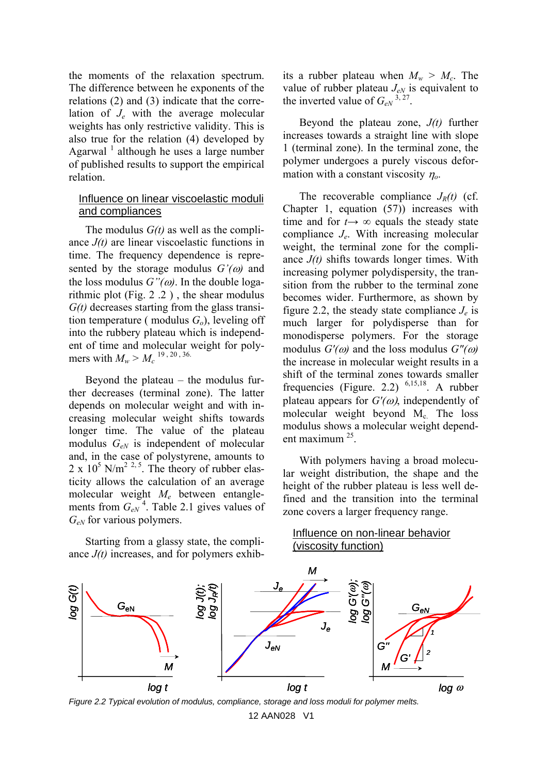the moments of the relaxation spectrum. The difference between he exponents of the relations (2) and (3) indicate that the correlation of *Je* with the average molecular weights has only restrictive validity. This is also true for the relation (4) developed by Agarwal<sup> $1$ </sup> although he uses a large number of published results to support the empirical relation.

### Influence on linear viscoelastic moduli and compliances

The modulus *G(t)* as well as the compliance *J(t)* are linear viscoelastic functions in time. The frequency dependence is represented by the storage modulus  $G'(\omega)$  and the loss modulus  $G''(\omega)$ . In the double logarithmic plot (Fig. 2 .2 ) , the shear modulus *G(t)* decreases starting from the glass transition temperature (modulus  $G<sub>o</sub>$ ), leveling off into the rubbery plateau which is independent of time and molecular weight for polymers with  $M_w > M_c^{-19}$ , 20, 36.

Beyond the plateau  $-$  the modulus further decreases (terminal zone). The latter depends on molecular weight and with increasing molecular weight shifts towards longer time. The value of the plateau modulus *GeN* is independent of molecular and, in the case of polystyrene, amounts to  $2 \times 10^5$  N/m<sup>2 2, 5</sup>. The theory of rubber elasticity allows the calculation of an average molecular weight *Me* between entanglements from  $G_{eN}^4$ . Table 2.1 gives values of *GeN* for various polymers.

Starting from a glassy state, the compliance *J(t)* increases, and for polymers exhibits a rubber plateau when  $M_w > M_c$ . The value of rubber plateau  $J_{eN}$  is equivalent to the inverted value of  $G_{eN}^{3, 27}$ .

Beyond the plateau zone, *J(t)* further increases towards a straight line with slope 1 (terminal zone). In the terminal zone, the polymer undergoes a purely viscous deformation with a constant viscosity <sup>η</sup>*o*.

The recoverable compliance  $J_R(t)$  (cf. Chapter 1, equation (57)) increases with time and for  $t \rightarrow \infty$  equals the steady state compliance *Je*. With increasing molecular weight, the terminal zone for the compliance *J(t)* shifts towards longer times. With increasing polymer polydispersity, the transition from the rubber to the terminal zone becomes wider. Furthermore, as shown by figure 2.2, the steady state compliance  $J_e$  is much larger for polydisperse than for monodisperse polymers. For the storage modulus  $G'(\omega)$  and the loss modulus  $G''(\omega)$ the increase in molecular weight results in a shift of the terminal zones towards smaller frequencies (Figure. 2.2)  $^{6,15,18}$ . A rubber plateau appears for *G'(*ω), independently of molecular weight beyond  $M_c$ . The loss modulus shows a molecular weight dependent maximum 25.

With polymers having a broad molecular weight distribution, the shape and the height of the rubber plateau is less well defined and the transition into the terminal zone covers a larger frequency range.



Influence on non-linear behavior (viscosity function)

*Figure 2.2 Typical evolution of modulus, compliance, storage and loss moduli for polymer melts.*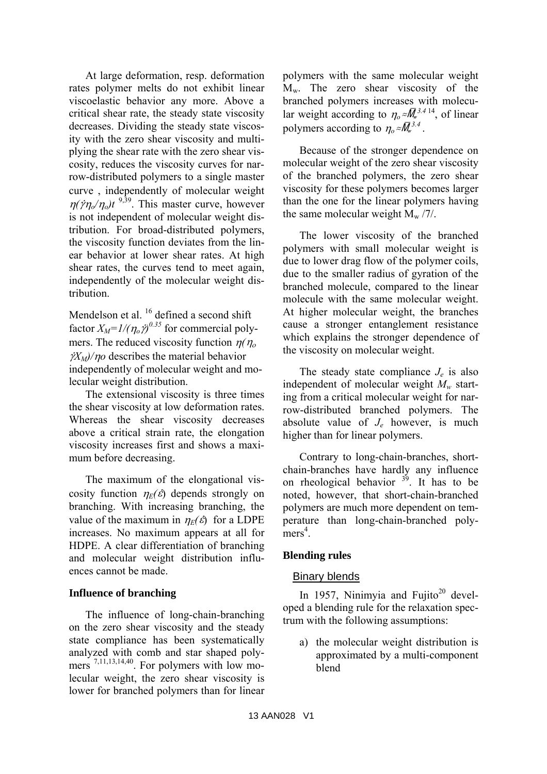At large deformation, resp. deformation rates polymer melts do not exhibit linear viscoelastic behavior any more. Above a critical shear rate, the steady state viscosity decreases. Dividing the steady state viscosity with the zero shear viscosity and multiplying the shear rate with the zero shear viscosity, reduces the viscosity curves for narrow-distributed polymers to a single master curve , independently of molecular weight  $\eta(\gamma\eta_o/\eta_o)t$ <sup>9,39</sup>. This master curve, however is not independent of molecular weight distribution. For broad-distributed polymers, the viscosity function deviates from the linear behavior at lower shear rates. At high shear rates, the curves tend to meet again, independently of the molecular weight distribution.

Mendelson et al. <sup>16</sup> defined a second shift factor  $X_M = 1/(\eta_o \dot{y})^{0.35}$  for commercial polymers. The reduced viscosity function  $η(η<sub>o</sub>)$  $\gamma$ *X<sub>M</sub>*)/ $\eta$ *o* describes the material behavior independently of molecular weight and molecular weight distribution.

The extensional viscosity is three times the shear viscosity at low deformation rates. Whereas the shear viscosity decreases above a critical strain rate, the elongation viscosity increases first and shows a maximum before decreasing.

The maximum of the elongational viscosity function  $\eta_F(\hat{\varepsilon})$  depends strongly on branching. With increasing branching, the value of the maximum in  $\eta_F(\hat{\varepsilon})$  for a LDPE increases. No maximum appears at all for HDPE. A clear differentiation of branching and molecular weight distribution influences cannot be made.

## **Influence of branching**

The influence of long-chain-branching on the zero shear viscosity and the steady state compliance has been systematically analyzed with comb and star shaped polymers  $^{7,11,13,14,40}$ . For polymers with low molecular weight, the zero shear viscosity is lower for branched polymers than for linear

polymers with the same molecular weight  $M_w$ . The zero shear viscosity of the branched polymers increases with molecular weight according to  $\eta_0 \approx \overline{M}_{w}^{3.4 \cdot 14}$ , of linear polymers according to  $\eta_0 \approx \overline{M}_{w}^{3.4}$ .

Because of the stronger dependence on molecular weight of the zero shear viscosity of the branched polymers, the zero shear viscosity for these polymers becomes larger than the one for the linear polymers having the same molecular weight  $M_{\rm w}$  /7/.

The lower viscosity of the branched polymers with small molecular weight is due to lower drag flow of the polymer coils, due to the smaller radius of gyration of the branched molecule, compared to the linear molecule with the same molecular weight. At higher molecular weight, the branches cause a stronger entanglement resistance which explains the stronger dependence of the viscosity on molecular weight.

The steady state compliance  $J_e$  is also independent of molecular weight  $M_w$  starting from a critical molecular weight for narrow-distributed branched polymers. The absolute value of *Je* however, is much higher than for linear polymers.

Contrary to long-chain-branches, shortchain-branches have hardly any influence on rheological behavior  $39$ . It has to be noted, however, that short-chain-branched polymers are much more dependent on temperature than long-chain-branched poly $mers<sup>4</sup>$ .

## **Blending rules**

## Binary blends

In 1957, Ninimyia and Fujito<sup>20</sup> developed a blending rule for the relaxation spectrum with the following assumptions:

a) the molecular weight distribution is approximated by a multi-component blend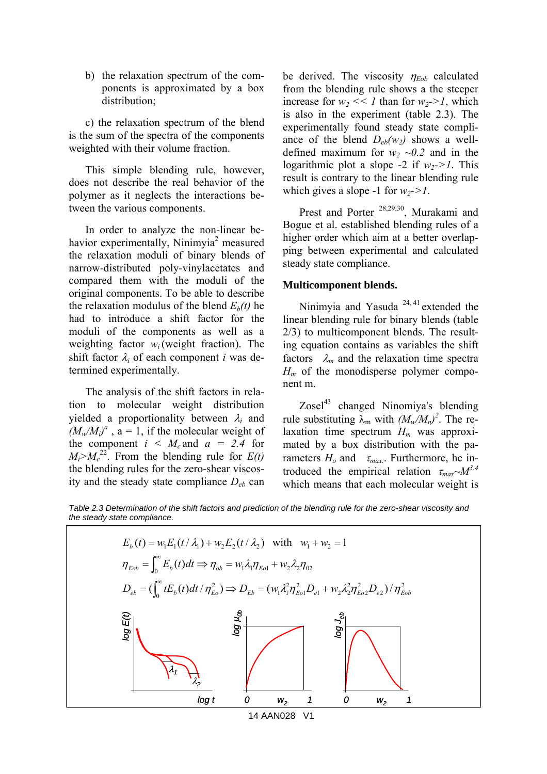b) the relaxation spectrum of the components is approximated by a box distribution;

c) the relaxation spectrum of the blend is the sum of the spectra of the components weighted with their volume fraction.

This simple blending rule, however, does not describe the real behavior of the polymer as it neglects the interactions between the various components.

In order to analyze the non-linear behavior experimentally, Ninimyia<sup>2</sup> measured the relaxation moduli of binary blends of narrow-distributed poly-vinylacetates and compared them with the moduli of the original components. To be able to describe the relaxation modulus of the blend  $E_b(t)$  he had to introduce a shift factor for the moduli of the components as well as a weighting factor  $w_i$  (weight fraction). The shift factor  $\lambda_i$  of each component *i* was determined experimentally.

The analysis of the shift factors in relation to molecular weight distribution yielded a proportionality between λ*i* and  $(M_w/M_i)^a$ ,  $a = 1$ , if the molecular weight of the component  $i \leq M_c$  and  $a = 2.4$  for  $M_i > M_c^{22}$ . From the blending rule for  $E(t)$ the blending rules for the zero-shear viscosity and the steady state compliance *Deb* can

be derived. The viscosity  $\eta_{Eob}$  calculated from the blending rule shows a the steeper increase for  $w_2 \ll 1$  than for  $w_2 > 1$ , which is also in the experiment (table 2.3). The experimentally found steady state compliance of the blend  $D_{eb}(w_2)$  shows a welldefined maximum for  $w_2 \sim 0.2$  and in the logarithmic plot a slope -2 if  $w_2 > 1$ . This result is contrary to the linear blending rule which gives a slope -1 for  $w_2$ ->1.

Prest and Porter 28,29,30, Murakami and Bogue et al. established blending rules of a higher order which aim at a better overlapping between experimental and calculated steady state compliance.

#### **Multicomponent blends.**

Ninimyia and Yasuda<sup>24, 41</sup> extended the linear blending rule for binary blends (table 2/3) to multicomponent blends. The resulting equation contains as variables the shift factors  $\lambda_m$  and the relaxation time spectra  $H_m$  of the monodisperse polymer component m.

 $Zosel<sup>43</sup>$  changed Ninomiya's blending rule substituting  $\lambda_m$  with  $(M_w/M_n)^2$ . The relaxation time spectrum  $H_m$  was approximated by a box distribution with the parameters  $H_o$  and  $\tau_{max}$ . Furthermore, he introduced the empirical relation  $\tau_{max} \sim M^{3.4}$ which means that each molecular weight is

*Table 2.3 Determination of the shift factors and prediction of the blending rule for the zero-shear viscosity and the steady state compliance.* 



14 AAN028 V1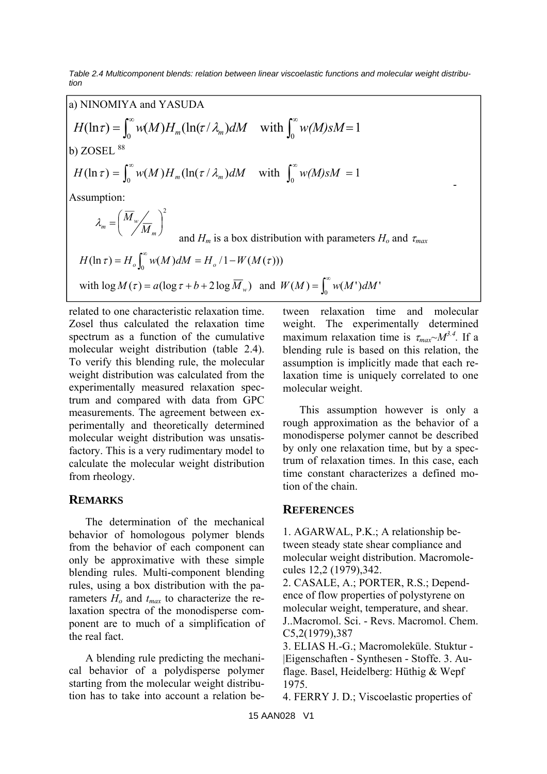*Table 2.4 Multicomponent blends: relation between linear viscoelastic functions and molecular weight distribution* 

a) NINOMIYA and YASUDA  
\n
$$
H(\ln \tau) = \int_0^\infty w(M) H_m(\ln(\tau/\lambda_m) dM \quad \text{with } \int_0^\infty w(M) sM = 1
$$
\nb) ZOSEL<sup>88</sup>  
\n
$$
H(\ln \tau) = \int_0^\infty w(M) H_m(\ln(\tau/\lambda_m) dM \quad \text{with } \int_0^\infty w(M) sM = 1
$$
\nAssumption:  
\n
$$
\lambda_m = \left(\frac{\overline{M}_w}{M_m}\right)^2 \quad \text{and } H_m \text{ is a box distribution with parameters } H_o \text{ and } \tau_{max}
$$
\n
$$
H(\ln \tau) = H_o \int_0^\infty w(M) dM = H_o / 1 - W(M(\tau)))
$$
\nwith  $\log M(\tau) = a(\log \tau + b + 2 \log \overline{M}_w)$  and  $W(M) = \int_0^\infty w(M') dM'$ 

related to one characteristic relaxation time. Zosel thus calculated the relaxation time spectrum as a function of the cumulative molecular weight distribution (table 2.4). To verify this blending rule, the molecular weight distribution was calculated from the experimentally measured relaxation spectrum and compared with data from GPC measurements. The agreement between experimentally and theoretically determined molecular weight distribution was unsatisfactory. This is a very rudimentary model to calculate the molecular weight distribution from rheology.

## **REMARKS**

The determination of the mechanical behavior of homologous polymer blends from the behavior of each component can only be approximative with these simple blending rules. Multi-component blending rules, using a box distribution with the parameters  $H_0$  and  $t_{max}$  to characterize the relaxation spectra of the monodisperse component are to much of a simplification of the real fact.

A blending rule predicting the mechanical behavior of a polydisperse polymer starting from the molecular weight distribution has to take into account a relation between relaxation time and molecular weight. The experimentally determined maximum relaxation time is  $\tau_{max} \sim M^{3.4}$ . If a blending rule is based on this relation, the assumption is implicitly made that each relaxation time is uniquely correlated to one molecular weight.

This assumption however is only a rough approximation as the behavior of a monodisperse polymer cannot be described by only one relaxation time, but by a spectrum of relaxation times. In this case, each time constant characterizes a defined motion of the chain.

## **REFERENCES**

1. AGARWAL, P.K.; A relationship between steady state shear compliance and molecular weight distribution. Macromolecules 12,2 (1979),342.

2. CASALE, A.; PORTER, R.S.; Dependence of flow properties of polystyrene on molecular weight, temperature, and shear. J..Macromol. Sci. - Revs. Macromol. Chem. C5,2(1979),387

3. ELIAS H.-G.; Macromoleküle. Stuktur - |Eigenschaften - Synthesen - Stoffe. 3. Auflage. Basel, Heidelberg: Hüthig & Wepf 1975.

4. FERRY J. D.; Viscoelastic properties of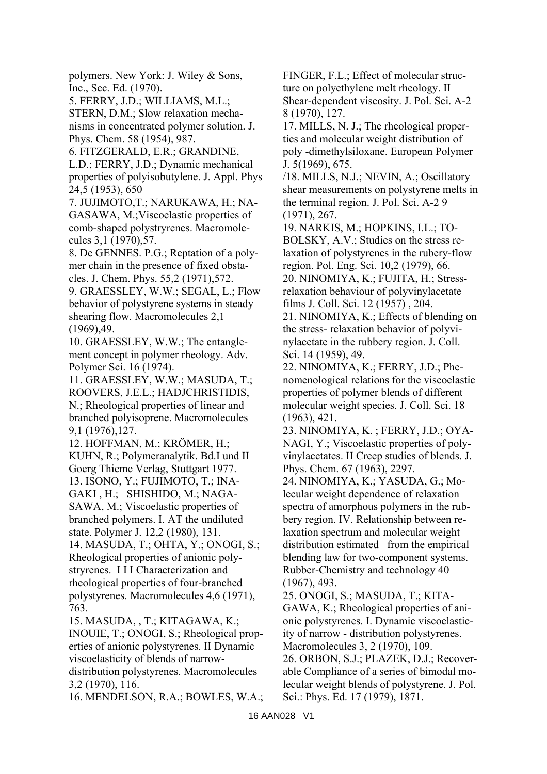polymers. New York: J. Wiley & Sons, Inc., Sec. Ed. (1970).

5. FERRY, J.D.; WILLIAMS, M.L.; STERN, D.M.; Slow relaxation mechanisms in concentrated polymer solution. J. Phys. Chem. 58 (1954), 987.

6. FITZGERALD, E.R.; GRANDINE,

L.D.; FERRY, J.D.; Dynamic mechanical properties of polyisobutylene. J. Appl. Phys 24,5 (1953), 650

7. JUJIMOTO,T.; NARUKAWA, H.; NA-GASAWA, M.;Viscoelastic properties of comb-shaped polystryrenes. Macromolecules 3,1 (1970),57.

8. De GENNES. P.G.; Reptation of a polymer chain in the presence of fixed obstacles. J. Chem. Phys. 55,2 (1971),572.

9. GRAESSLEY, W.W.; SEGAL, L.; Flow behavior of polystyrene systems in steady shearing flow. Macromolecules 2,1 (1969),49.

10. GRAESSLEY, W.W.; The entanglement concept in polymer rheology. Adv. Polymer Sci. 16 (1974).

11. GRAESSLEY, W.W.; MASUDA, T.; ROOVERS, J.E.L.; HADJCHRISTIDIS, N.; Rheological properties of linear and branched polyisoprene. Macromolecules 9,1 (1976),127.

12. HOFFMAN, M.; KRÖMER, H.; KUHN, R.; Polymeranalytik. Bd.I und II Goerg Thieme Verlag, Stuttgart 1977.

13. ISONO, Y.; FUJIMOTO, T.; INA-GAKI , H.; SHISHIDO, M.; NAGA-SAWA, M.; Viscoelastic properties of

branched polymers. I. AT the undiluted state. Polymer J. 12,2 (1980), 131.

14. MASUDA, T.; OHTA, Y.; ONOGI, S.; Rheological properties of anionic polystryrenes. I I I Characterization and rheological properties of four-branched polystyrenes. Macromolecules 4,6 (1971), 763.

15. MASUDA, , T.; KITAGAWA, K.; INOUIE, T.; ONOGI, S.; Rheological properties of anionic polystyrenes. II Dynamic viscoelasticity of blends of narrowdistribution polystyrenes. Macromolecules 3,2 (1970), 116.

16. MENDELSON, R.A.; BOWLES, W.A.;

FINGER, F.L.; Effect of molecular structure on polyethylene melt rheology. II Shear-dependent viscosity. J. Pol. Sci. A-2 8 (1970), 127.

17. MILLS, N. J.; The rheological properties and molecular weight distribution of poly -dimethylsiloxane. European Polymer J. 5(1969), 675.

/18. MILLS, N.J.; NEVIN, A.; Oscillatory shear measurements on polystyrene melts in the terminal region. J. Pol. Sci. A-2 9 (1971), 267.

19. NARKIS, M.; HOPKINS, I.L.; TO-BOLSKY, A.V.; Studies on the stress relaxation of polystyrenes in the rubery-flow region. Pol. Eng. Sci. 10,2 (1979), 66. 20. NINOMIYA, K.; FUJITA, H.; Stressrelaxation behaviour of polyvinylacetate

films J. Coll. Sci. 12 (1957) , 204. 21. NINOMIYA, K.; Effects of blending on

the stress- relaxation behavior of polyvinylacetate in the rubbery region. J. Coll. Sci. 14 (1959), 49.

22. NINOMIYA, K.; FERRY, J.D.; Phenomenological relations for the viscoelastic properties of polymer blends of different molecular weight species. J. Coll. Sci. 18 (1963), 421.

23. NINOMIYA, K. ; FERRY, J.D.; OYA-NAGI, Y.; Viscoelastic properties of polyvinylacetates. II Creep studies of blends. J. Phys. Chem. 67 (1963), 2297.

24. NINOMIYA, K.; YASUDA, G.; Molecular weight dependence of relaxation spectra of amorphous polymers in the rubbery region. IV. Relationship between relaxation spectrum and molecular weight distribution estimated from the empirical blending law for two-component systems. Rubber-Chemistry and technology 40 (1967), 493.

25. ONOGI, S.; MASUDA, T.; KITA-

GAWA, K.; Rheological properties of anionic polystyrenes. I. Dynamic viscoelasticity of narrow - distribution polystyrenes. Macromolecules 3, 2 (1970), 109.

26. ORBON, S.J.; PLAZEK, D.J.; Recoverable Compliance of a series of bimodal molecular weight blends of polystyrene. J. Pol. Sci.: Phys. Ed. 17 (1979), 1871.